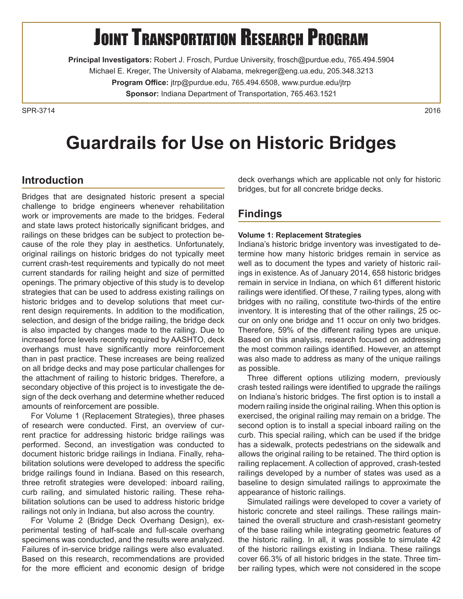# **JOINT TRANSPORTATION RESEARCH PROGRAM**

**Principal Investigators:** Robert J. Frosch, Purdue University, frosch@purdue.edu, 765.494.5904 Michael E. Kreger, The University of Alabama, mekreger@eng.ua.edu, 205.348.3213 **Program Office:** jtrp@purdue.edu, 765.494.6508, www.purdue.edu/jtrp **Sponsor:** Indiana Department of Transportation, 765.463.1521

SPR-37142016

## **Guardrails for Use on Historic Bridges**

## **Introduction**

Bridges that are designated historic present a special challenge to bridge engineers whenever rehabilitation work or improvements are made to the bridges. Federal and state laws protect historically significant bridges, and railings on these bridges can be subject to protection because of the role they play in aesthetics. Unfortunately, original railings on historic bridges do not typically meet current crash-test requirements and typically do not meet current standards for railing height and size of permitted openings. The primary objective of this study is to develop strategies that can be used to address existing railings on historic bridges and to develop solutions that meet current design requirements. In addition to the modification, selection, and design of the bridge railing, the bridge deck is also impacted by changes made to the railing. Due to increased force levels recently required by AASHTO, deck overhangs must have significantly more reinforcement than in past practice. These increases are being realized on all bridge decks and may pose particular challenges for the attachment of railing to historic bridges. Therefore, a secondary objective of this project is to investigate the design of the deck overhang and determine whether reduced amounts of reinforcement are possible.

For Volume 1 (Replacement Strategies), three phases of research were conducted. First, an overview of current practice for addressing historic bridge railings was performed. Second, an investigation was conducted to document historic bridge railings in Indiana. Finally, rehabilitation solutions were developed to address the specific bridge railings found in Indiana. Based on this research, three retrofit strategies were developed: inboard railing, curb railing, and simulated historic railing. These rehabilitation solutions can be used to address historic bridge railings not only in Indiana, but also across the country.

For Volume 2 (Bridge Deck Overhang Design), experimental testing of half-scale and full-scale overhang specimens was conducted, and the results were analyzed. Failures of in-service bridge railings were also evaluated. Based on this research, recommendations are provided for the more efficient and economic design of bridge

deck overhangs which are applicable not only for historic bridges, but for all concrete bridge decks.

## **Findings**

#### **Volume 1: Replacement Strategies**

Indiana's historic bridge inventory was investigated to determine how many historic bridges remain in service as well as to document the types and variety of historic railings in existence. As of January 2014, 658 historic bridges remain in service in Indiana, on which 61 different historic railings were identified. Of these, 7 railing types, along with bridges with no railing, constitute two-thirds of the entire inventory. It is interesting that of the other railings, 25 occur on only one bridge and 11 occur on only two bridges. Therefore, 59% of the different railing types are unique. Based on this analysis, research focused on addressing the most common railings identified. However, an attempt was also made to address as many of the unique railings as possible.

Three different options utilizing modern, previously crash tested railings were identified to upgrade the railings on Indiana's historic bridges. The first option is to install a modern railing inside the original railing. When this option is exercised, the original railing may remain on a bridge. The second option is to install a special inboard railing on the curb. This special railing, which can be used if the bridge has a sidewalk, protects pedestrians on the sidewalk and allows the original railing to be retained. The third option is railing replacement. A collection of approved, crash-tested railings developed by a number of states was used as a baseline to design simulated railings to approximate the appearance of historic railings.

Simulated railings were developed to cover a variety of historic concrete and steel railings. These railings maintained the overall structure and crash-resistant geometry of the base railing while integrating geometric features of the historic railing. In all, it was possible to simulate 42 of the historic railings existing in Indiana. These railings cover 66.3% of all historic bridges in the state. Three timber railing types, which were not considered in the scope